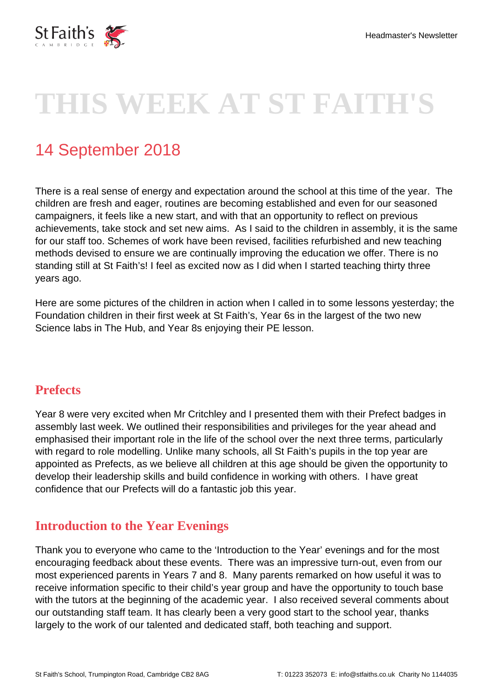

# **THIS WEEK AT ST FAITH'S**

# 14 September 2018

There is a real sense of energy and expectation around the school at this time of the year. The children are fresh and eager, routines are becoming established and even for our seasoned campaigners, it feels like a new start, and with that an opportunity to reflect on previous achievements, take stock and set new aims. As I said to the children in assembly, it is the same for our staff too. Schemes of work have been revised, facilities refurbished and new teaching methods devised to ensure we are continually improving the education we offer. There is no standing still at St Faith's! I feel as excited now as I did when I started teaching thirty three years ago.

Here are some pictures of the children in action when I called in to some lessons yesterday; the Foundation children in their first week at St Faith's, Year 6s in the largest of the two new Science labs in The Hub, and Year 8s enjoying their PE lesson.

#### **Prefects**

Year 8 were very excited when Mr Critchley and I presented them with their Prefect badges in assembly last week. We outlined their responsibilities and privileges for the year ahead and emphasised their important role in the life of the school over the next three terms, particularly with regard to role modelling. Unlike many schools, all St Faith's pupils in the top year are appointed as Prefects, as we believe all children at this age should be given the opportunity to develop their leadership skills and build confidence in working with others. I have great confidence that our Prefects will do a fantastic job this year.

### **Introduction to the Year Evenings**

Thank you to everyone who came to the 'Introduction to the Year' evenings and for the most encouraging feedback about these events. There was an impressive turn-out, even from our most experienced parents in Years 7 and 8. Many parents remarked on how useful it was to receive information specific to their child's year group and have the opportunity to touch base with the tutors at the beginning of the academic year. I also received several comments about our outstanding staff team. It has clearly been a very good start to the school year, thanks largely to the work of our talented and dedicated staff, both teaching and support.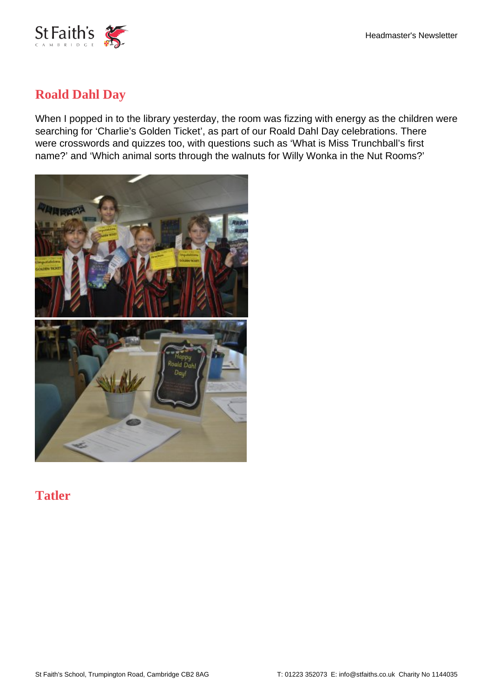

# **Roald Dahl Day**

When I popped in to the library yesterday, the room was fizzing with energy as the children were searching for 'Charlie's Golden Ticket', as part of our Roald Dahl Day celebrations. There were crosswords and quizzes too, with questions such as 'What is Miss Trunchball's first name?' and 'Which animal sorts through the walnuts for Willy Wonka in the Nut Rooms?'



**Tatler**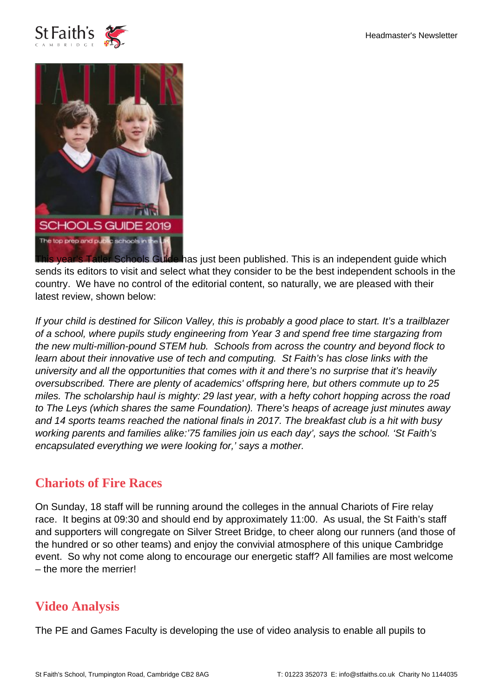



Schools Guide has just been published. This is an independent quide which sends its editors to visit and select what they consider to be the best independent schools in the country. We have no control of the editorial content, so naturally, we are pleased with their latest review, shown below:

If your child is destined for Silicon Valley, this is probably a good place to start. It's a trailblazer of a school, where pupils study engineering from Year 3 and spend free time stargazing from the new multi-million-pound STEM hub. Schools from across the country and beyond flock to learn about their innovative use of tech and computing. St Faith's has close links with the university and all the opportunities that comes with it and there's no surprise that it's heavily oversubscribed. There are plenty of academics' offspring here, but others commute up to 25 miles. The scholarship haul is mighty: 29 last year, with a hefty cohort hopping across the road to The Leys (which shares the same Foundation). There's heaps of acreage just minutes away and 14 sports teams reached the national finals in 2017. The breakfast club is a hit with busy working parents and families alike:'75 families join us each day', says the school. 'St Faith's encapsulated everything we were looking for,' says a mother.

### **Chariots of Fire Races**

On Sunday, 18 staff will be running around the colleges in the annual Chariots of Fire relay race. It begins at 09:30 and should end by approximately 11:00. As usual, the St Faith's staff and supporters will congregate on Silver Street Bridge, to cheer along our runners (and those of the hundred or so other teams) and enjoy the convivial atmosphere of this unique Cambridge event. So why not come along to encourage our energetic staff? All families are most welcome – the more the merrier!

# **Video Analysis**

The PE and Games Faculty is developing the use of video analysis to enable all pupils to